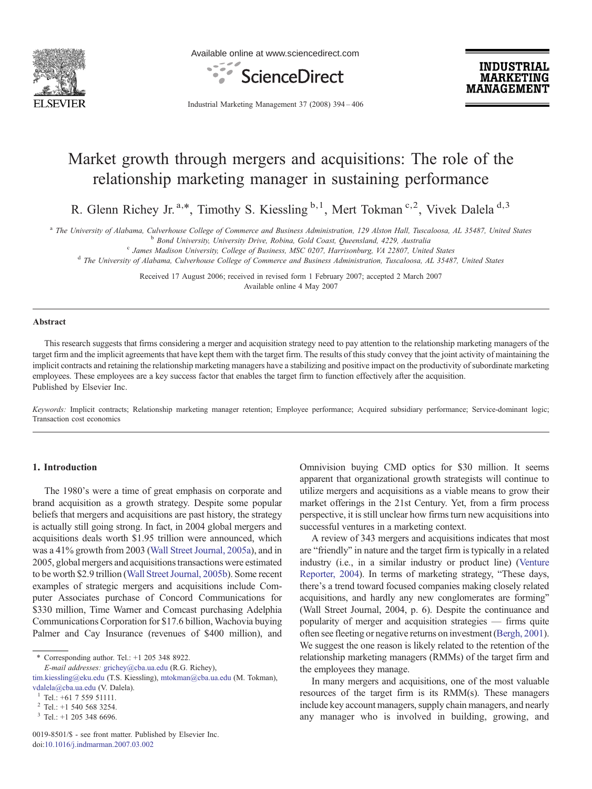

Available online at www.sciencedirect.com



**INDUSTRIAL MARKETING MANAGEMENT** 

Industrial Marketing Management 37 (2008) 394–406

# Market growth through mergers and acquisitions: The role of the relationship marketing manager in sustaining performance

R. Glenn Richey Jr.<sup>a,\*</sup>, Timothy S. Kiessling  $b,1$ , Mert Tokman<sup>c,2</sup>, Vivek Dalela<sup>d,3</sup>

<sup>a</sup> The University of Alabama, Culverhouse College of Commerce and Business Administration, 129 Alston Hall, Tuscaloosa, AL 35487, United States<br><sup>b</sup> Bond University, University Drive, Robina, Gold Coast, Queensland, 4229,

Received 17 August 2006; received in revised form 1 February 2007; accepted 2 March 2007 Available online 4 May 2007

#### Abstract

This research suggests that firms considering a merger and acquisition strategy need to pay attention to the relationship marketing managers of the target firm and the implicit agreements that have kept them with the target firm. The results of this study convey that the joint activity of maintaining the implicit contracts and retaining the relationship marketing managers have a stabilizing and positive impact on the productivity of subordinate marketing employees. These employees are a key success factor that enables the target firm to function effectively after the acquisition. Published by Elsevier Inc.

Keywords: Implicit contracts; Relationship marketing manager retention; Employee performance; Acquired subsidiary performance; Service-dominant logic; Transaction cost economics

## 1. Introduction

The 1980's were a time of great emphasis on corporate and brand acquisition as a growth strategy. Despite some popular beliefs that mergers and acquisitions are past history, the strategy is actually still going strong. In fact, in 2004 global mergers and acquisitions deals worth \$1.95 trillion were announced, which was a 41% growth from 2003 [\(Wall Street Journal, 2005a\)](#page--1-0), and in 2005, global mergers and acquisitions transactions were estimated to be worth \$2.9 trillion ([Wall Street Journal, 2005b\)](#page--1-0). Some recent examples of strategic mergers and acquisitions include Computer Associates purchase of Concord Communications for \$330 million, Time Warner and Comcast purchasing Adelphia Communications Corporation for \$17.6 billion, Wachovia buying Palmer and Cay Insurance (revenues of \$400 million), and

⁎ Corresponding author. Tel.: +1 205 348 8922.

[tim.kiessling@eku.edu](mailto:tim.kiessling@eku.edu) (T.S. Kiessling), [mtokman@cba.ua.edu](mailto:mtokman@cba.ua.edu) (M. Tokman), [vdalela@cba.ua.edu](mailto:vdalela@cba.ua.edu) (V. Dalela).<br><sup>1</sup> Tel.: +61 7 559 51111.<br><sup>2</sup> Tel.: +1 540 568 3254.

Omnivision buying CMD optics for \$30 million. It seems apparent that organizational growth strategists will continue to utilize mergers and acquisitions as a viable means to grow their market offerings in the 21st Century. Yet, from a firm process perspective, it is still unclear how firms turn new acquisitions into successful ventures in a marketing context.

A review of 343 mergers and acquisitions indicates that most are "friendly" in nature and the target firm is typically in a related industry (i.e., in a similar industry or product line) ([Venture](#page--1-0) [Reporter, 2004](#page--1-0)). In terms of marketing strategy, "These days, there's a trend toward focused companies making closely related acquisitions, and hardly any new conglomerates are forming" (Wall Street Journal, 2004, p. 6). Despite the continuance and popularity of merger and acquisition strategies — firms quite often see fleeting or negative returns on investment ([Bergh, 2001](#page--1-0)). We suggest the one reason is likely related to the retention of the relationship marketing managers (RMMs) of the target firm and the employees they manage.

In many mergers and acquisitions, one of the most valuable resources of the target firm is its RMM(s). These managers include key account managers, supply chain managers, and nearly any manager who is involved in building, growing, and

E-mail addresses: [grichey@cba.ua.edu](mailto:grichey@cba.ua.edu) (R.G. Richey),

 $3$  Tel.: +1 205 348 6696.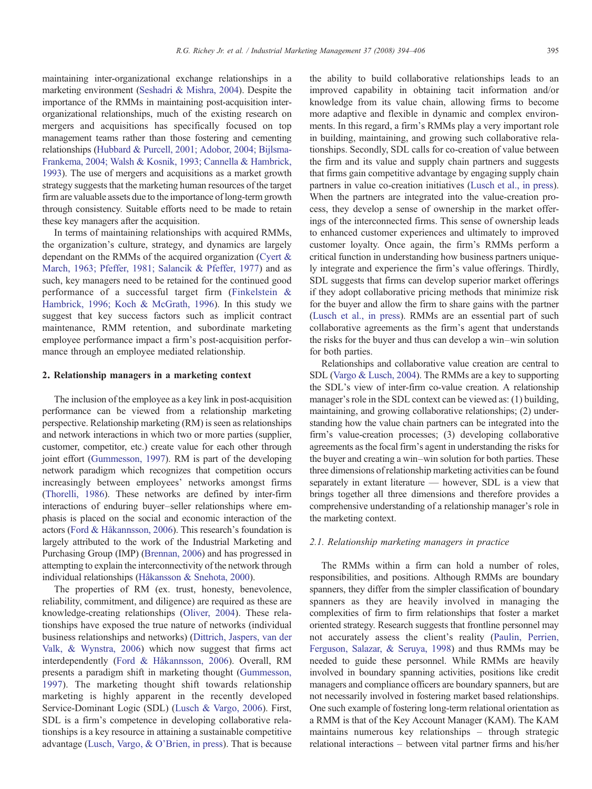maintaining inter-organizational exchange relationships in a marketing environment [\(Seshadri & Mishra, 2004](#page--1-0)). Despite the importance of the RMMs in maintaining post-acquisition interorganizational relationships, much of the existing research on mergers and acquisitions has specifically focused on top management teams rather than those fostering and cementing relationships [\(Hubbard & Purcell, 2001; Adobor, 2004; Bijlsma-](#page--1-0)[Frankema, 2004; Walsh & Kosnik, 1993; Cannella & Hambrick,](#page--1-0) [1993](#page--1-0)). The use of mergers and acquisitions as a market growth strategy suggests that the marketing human resources of the target firm are valuable assets due to the importance of long-term growth through consistency. Suitable efforts need to be made to retain these key managers after the acquisition.

In terms of maintaining relationships with acquired RMMs, the organization's culture, strategy, and dynamics are largely dependant on the RMMs of the acquired organization [\(Cyert &](#page--1-0) [March, 1963; Pfeffer, 1981; Salancik & Pfeffer, 1977\)](#page--1-0) and as such, key managers need to be retained for the continued good performance of a successful target firm [\(Finkelstein &](#page--1-0) [Hambrick, 1996; Koch & McGrath, 1996\)](#page--1-0). In this study we suggest that key success factors such as implicit contract maintenance, RMM retention, and subordinate marketing employee performance impact a firm's post-acquisition performance through an employee mediated relationship.

#### 2. Relationship managers in a marketing context

The inclusion of the employee as a key link in post-acquisition performance can be viewed from a relationship marketing perspective. Relationship marketing (RM) is seen as relationships and network interactions in which two or more parties (supplier, customer, competitor, etc.) create value for each other through joint effort ([Gummesson, 1997](#page--1-0)). RM is part of the developing network paradigm which recognizes that competition occurs increasingly between employees' networks amongst firms ([Thorelli, 1986\)](#page--1-0). These networks are defined by inter-firm interactions of enduring buyer–seller relationships where emphasis is placed on the social and economic interaction of the actors [\(Ford & Håkannsson, 2006\)](#page--1-0). This research's foundation is largely attributed to the work of the Industrial Marketing and Purchasing Group (IMP) [\(Brennan, 2006](#page--1-0)) and has progressed in attempting to explain the interconnectivity of the network through individual relationships ([Håkansson & Snehota, 2000](#page--1-0)).

The properties of RM (ex. trust, honesty, benevolence, reliability, commitment, and diligence) are required as these are knowledge-creating relationships [\(Oliver, 2004\)](#page--1-0). These relationships have exposed the true nature of networks (individual business relationships and networks) [\(Dittrich, Jaspers, van der](#page--1-0) [Valk, & Wynstra, 2006\)](#page--1-0) which now suggest that firms act interdependently [\(Ford & Håkannsson, 2006](#page--1-0)). Overall, RM presents a paradigm shift in marketing thought [\(Gummesson,](#page--1-0) [1997\)](#page--1-0). The marketing thought shift towards relationship marketing is highly apparent in the recently developed Service-Dominant Logic (SDL) [\(Lusch & Vargo, 2006](#page--1-0)). First, SDL is a firm's competence in developing collaborative relationships is a key resource in attaining a sustainable competitive advantage [\(Lusch, Vargo, & O'Brien, in press](#page--1-0)). That is because the ability to build collaborative relationships leads to an improved capability in obtaining tacit information and/or knowledge from its value chain, allowing firms to become more adaptive and flexible in dynamic and complex environments. In this regard, a firm's RMMs play a very important role in building, maintaining, and growing such collaborative relationships. Secondly, SDL calls for co-creation of value between the firm and its value and supply chain partners and suggests that firms gain competitive advantage by engaging supply chain partners in value co-creation initiatives ([Lusch et al., in press\)](#page--1-0). When the partners are integrated into the value-creation process, they develop a sense of ownership in the market offerings of the interconnected firms. This sense of ownership leads to enhanced customer experiences and ultimately to improved customer loyalty. Once again, the firm's RMMs perform a critical function in understanding how business partners uniquely integrate and experience the firm's value offerings. Thirdly, SDL suggests that firms can develop superior market offerings if they adopt collaborative pricing methods that minimize risk for the buyer and allow the firm to share gains with the partner ([Lusch et al., in press\)](#page--1-0). RMMs are an essential part of such collaborative agreements as the firm's agent that understands the risks for the buyer and thus can develop a win–win solution for both parties.

Relationships and collaborative value creation are central to SDL [\(Vargo & Lusch, 2004\)](#page--1-0). The RMMs are a key to supporting the SDL's view of inter-firm co-value creation. A relationship manager's role in the SDL context can be viewed as: (1) building, maintaining, and growing collaborative relationships; (2) understanding how the value chain partners can be integrated into the firm's value-creation processes; (3) developing collaborative agreements as the focal firm's agent in understanding the risks for the buyer and creating a win–win solution for both parties. These three dimensions of relationship marketing activities can be found separately in extant literature — however, SDL is a view that brings together all three dimensions and therefore provides a comprehensive understanding of a relationship manager's role in the marketing context.

### 2.1. Relationship marketing managers in practice

The RMMs within a firm can hold a number of roles, responsibilities, and positions. Although RMMs are boundary spanners, they differ from the simpler classification of boundary spanners as they are heavily involved in managing the complexities of firm to firm relationships that foster a market oriented strategy. Research suggests that frontline personnel may not accurately assess the client's reality ([Paulin, Perrien,](#page--1-0) [Ferguson, Salazar, & Seruya, 1998\)](#page--1-0) and thus RMMs may be needed to guide these personnel. While RMMs are heavily involved in boundary spanning activities, positions like credit managers and compliance officers are boundary spanners, but are not necessarily involved in fostering market based relationships. One such example of fostering long-term relational orientation as a RMM is that of the Key Account Manager (KAM). The KAM maintains numerous key relationships – through strategic relational interactions – between vital partner firms and his/her